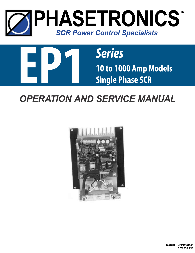



# *OPERATION AND SERVICE MANUAL*



**MANUAL - EP11101000 REV 05/23/19**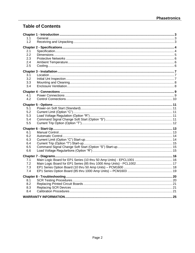## **Table of Contents**

| 1.1        |  |  |  |  |
|------------|--|--|--|--|
| 1.2        |  |  |  |  |
|            |  |  |  |  |
| 2.1        |  |  |  |  |
| 2.2        |  |  |  |  |
| 2.3<br>2.4 |  |  |  |  |
| 2.5        |  |  |  |  |
|            |  |  |  |  |
|            |  |  |  |  |
| 3.1<br>3.2 |  |  |  |  |
| 3.3        |  |  |  |  |
| 3.4        |  |  |  |  |
|            |  |  |  |  |
| 4.1        |  |  |  |  |
| 4.2        |  |  |  |  |
|            |  |  |  |  |
| 5.1        |  |  |  |  |
| 5.2        |  |  |  |  |
| 5.3        |  |  |  |  |
| 5.4        |  |  |  |  |
| 5.5        |  |  |  |  |
|            |  |  |  |  |
| 6.1        |  |  |  |  |
| 6.2        |  |  |  |  |
| 6.3        |  |  |  |  |
| 6.4        |  |  |  |  |
| 6.5        |  |  |  |  |
| 6.6        |  |  |  |  |
|            |  |  |  |  |
| 7.1        |  |  |  |  |
| 7.2        |  |  |  |  |
| 7.3        |  |  |  |  |
| 7.4        |  |  |  |  |
|            |  |  |  |  |
| 8.1        |  |  |  |  |
| 8.2        |  |  |  |  |
| 8.3        |  |  |  |  |
| 8.4        |  |  |  |  |
|            |  |  |  |  |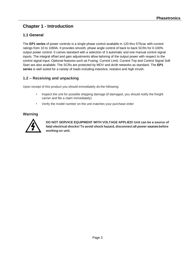## **Chapter 1 - Introduction**

## **1.1 General**

The **EP1 series** of power controls is a single phase control available in 120 thru 575vac with current ratings from 10 to 1000A. It provides smooth, phase angle control of back to back SCRs for 0-100% output power control. It comes standard with a selection of 3 automatic and one manual control signal inputs. The integral offset and gain adjustments allow tailoring of the output power with respect to the control signal input. Optional features such as Fusing, Current Limit, Current Trip and Control Signal Soft Start are also available. The SCRs are protected by MOV and dv/dt networks as standard. The **EP1 series** is well suited for a variety of loads including inductive, resistive and high inrush.

## **1.2 – Receiving and unpacking**

Upon receipt of this product you should immediately do the following:

- Inspect the unit for possible shipping damage (if damaged, you should notify the freight carrier and file a claim immediately)
- Verify the model number on the unit matches your purchase order

### **Warning**



**DO NOT SERVICE EQUIPMENT WITH VOLTAGE APPLIED! Unit can be a source of fatal electrical shocks! To avoid shock hazard, disconnect all power sources before working on unit.**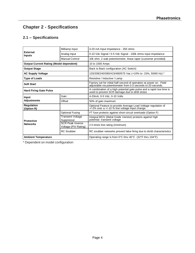## **Chapter 2 - Specifications**

## **2.1 – Specifications**

|                                                | Milliamp Input                                  | 4-20 mA Input Impedance - 250 ohms                                                                                                  |  |  |
|------------------------------------------------|-------------------------------------------------|-------------------------------------------------------------------------------------------------------------------------------------|--|--|
| <b>External</b><br><b>Inputs</b>               | Analog Input                                    | 0-10 Vdc Signal / 0-5 Vdc Signal - 100k ohms input impedance                                                                        |  |  |
|                                                | <b>Manual Control</b>                           | 10k ohm, 2 watt potentiometer, linear taper (customer provided)                                                                     |  |  |
| <b>Output Current Rating (Model dependent)</b> |                                                 | 10 to 1000 Amps                                                                                                                     |  |  |
| <b>Output Stage</b>                            |                                                 | Back to Back configuration (AC Switch)                                                                                              |  |  |
| <b>AC Supply Voltage</b>                       |                                                 | 120/208/240/380/415/480/575 Vac (+10% to -15%, 50/60 Hz) *                                                                          |  |  |
| <b>Type of Loads</b>                           |                                                 | Resistive / Inductive / Lamp                                                                                                        |  |  |
| <b>Soft Start</b>                              |                                                 | Factory set for initial half-second of operation at power on. Field<br>adjustable via potentiometer from 0.5 seconds to 20 seconds. |  |  |
| <b>Hard Firing Gate Pulse</b>                  |                                                 | A combination of a high-potential gate pulse and a rapid rise time is<br>used to prevent SCR damage due to di/dt stress             |  |  |
| Input                                          | Gain                                            | 4-20mA, 0-5 Vdc, 0-10 Volts                                                                                                         |  |  |
| <b>Adjustments</b>                             | Offset                                          | 50% of gain maximum                                                                                                                 |  |  |
| <b>Regulation</b><br>(Option R)                |                                                 | Optional Feature to provide Average Load Voltage regulation of<br>$+/-2\%$ over a $+/-10\%$ line voltage input change.              |  |  |
|                                                | <b>Optional Fusing</b>                          | I <sup>2</sup> T fuse protects against short-circuit overloads (Option F)                                                           |  |  |
| <b>Protective</b>                              | <b>Transient Voltage</b><br>Suppressor          | Integral MOV (Metal Oxide Varistor) protects against high<br>potential transient voltage                                            |  |  |
| <b>Networks</b>                                | <b>SCR Peak Inverse</b><br>Voltage (PIV Rating) | 2.5 times line rating (minimum)                                                                                                     |  |  |
|                                                | <b>RC</b> Snubber                               | RC snubber networks prevent false firing due to dv/dt characteristics                                                               |  |  |
| <b>Ambient Temperature</b>                     |                                                 | Operating range is from 0°C thru 40°C (32°F thru 104°F)                                                                             |  |  |

\* Dependent on model configuration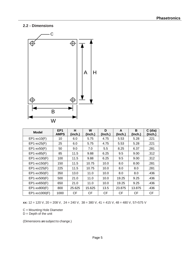## **2.2 - Dimensions**



| <b>Model</b>      | EP <sub>1</sub><br><b>AMPS</b> | н<br>(inch.) | W<br>(Inch.) | D<br>(Inch.) | A<br>(Inch.) | B<br>(Inch.) | $C$ (dia)<br>(Inch.) |
|-------------------|--------------------------------|--------------|--------------|--------------|--------------|--------------|----------------------|
| $EP1$ -xx10(F)    | 10                             | 6.0          | 5.75         | 4.75         | 5.53         | 5.28         | .221                 |
| $EP1$ -xx25(F)    | 25                             | 6.0          | 5.75         | 4.75         | 5.53         | 5.28         | .221                 |
| $EP1$ -xx $50(F)$ | 50                             | 9.0          | 7.0          | 5.5          | 8.25         | 6.37         | .281                 |
| $EP1$ -xx $85(F)$ | 85                             | 11.5         | 9.88         | 6.25         | 9.5          | 9.00         | .312                 |
| EP1-xx100(F)      | 100                            | 11.5         | 9.88         | 6.25         | 9.5          | 9.00         | .312                 |
| EP1-xx150(F)      | 150                            | 11.5         | 10.75        | 10.0         | 8.0          | 8.00         | .281                 |
| EP1-xx225(F)      | 225                            | 11.5         | 10.75        | 10.0         | 8.0          | 8.0          | .281                 |
| EP1-xx350(F)      | 350                            | 13.0         | 11.0         | 10.0         | 8.0          | 8.0          | .436                 |
| EP1-xx500(F)      | 500                            | 21.0         | 11.0         | 10.0         | 19.25        | 9.25         | .436                 |
| EP1-xx650(F)      | 650                            | 21.0         | 11.0         | 10.0         | 19.25        | 9.25         | .436                 |
| EP1-xx800(F)      | 800                            | 25.625       | 15.625       | 13.5         | 23.875       | 13.875       | .436                 |
| EP1-xx1000(F)     | 1000                           | <b>CF</b>    | <b>CF</b>    | <b>CF</b>    | <b>CF</b>    | <b>CF</b>    | <b>CF</b>            |

**xx:** 12 = 120 V, 20 = 208 V, 24 = 240 V, 38 = 380 V, 41 = 415 V, 48 = 480 V, 57=575 V

C = Mounting Hole Diameter

 $D =$  Depth of the unit

(Dimensions are subject to change.)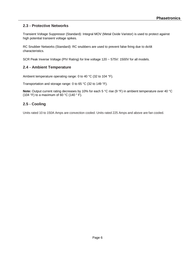## **2.3 - Protective Networks**

Transient Voltage Suppressor (Standard): Integral MOV (Metal Oxide Varistor) is used to protect against high potential transient voltage spikes.

RC Snubber Networks (Standard): RC snubbers are used to prevent false firing due to dv/dt characteristics.

SCR Peak Inverse Voltage (PIV Rating) for line voltage 120 ~ 575V: 1500V for all models.

## **2.4 - Ambient Temperature**

Ambient temperature operating range: 0 to 40 °C (32 to 104 °F).

Transportation and storage range: 0 to 65 °C (32 to 149 °F).

**Note:** Output current rating decreases by 10% for each 5 °C rise (9 °F) in ambient temperature over 40 °C (104 °F) to a maximum of 60 °C (140  $\degree$  F).

## **2.5 - Cooling**

Units rated 10 to 150A Amps are convection cooled. Units rated 225 Amps and above are fan cooled.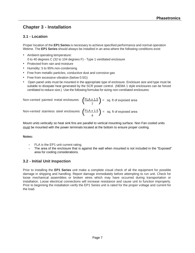## **Chapter 3 - Installation**

## **3.1 - Location**

Proper location of the **EP1 Series** is necessary to achieve specified performance and normal operation lifetime. The **EP1 Series** should always be installed in an area where the following conditions exist:

- Ambient operating temperature: 0 to 40 degrees C (32 to 104 degrees F) - Type 1 ventilated enclosure
- Protected from rain and moisture
- Humidity: 5 to 95% non-condensing
- Free from metallic particles, conductive dust and corrosive gas
- Free from excessive vibration (below 0.5G)
- Open panel units must be mounted in the appropriate type of enclosure. Enclosure size and type must be suitable to dissipate heat generated by the SCR power control. (NEMA 1 style enclosures can be forced ventilated to reduce size.) Use the following formulas for sizing non-ventilated enclosures:

| Non-vented painted metal enclosures: $\left(\frac{FLA \times 1.5}{7}\right)$ = sq. ft of exposed area          |  |
|----------------------------------------------------------------------------------------------------------------|--|
| Non-vented stainless steel enclosures: $\left(\frac{\text{FLA} \times 1.5}{4}\right)$ = sq. ft of exposed area |  |

 $\sqrt{4}$ 

Mount units vertically so heat sink fins are parallel to vertical mounting surface. Non Fan cooled units must be mounted with the power terminals located at the bottom to ensure proper cooling.

#### **Notes:**

- **-** FLA is the EP1 unit current rating.
- **-** The area of the enclosure that is against the wall when mounted is not included in the "Exposed" area for cooling considerations.

## **3.2 - Initial Unit Inspection**

Prior to installing the **EP1 Series** unit make a complete visual check of all the equipment for possible damage in shipping and handling. Report damage immediately before attempting to run unit. Check for loose mechanical assemblies or broken wires which may have occurred during transportation or installation. Loose electrical connections will increase resistance and cause unit to function improperly. Prior to beginning the installation verify the EP1 Series unit is rated for the proper voltage and current for the load.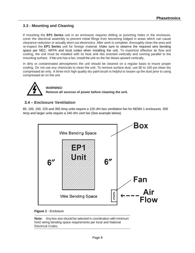## **3.3 - Mounting and Cleaning**

If mounting the **EP1 Series** unit in an enclosure requires drilling or punching holes in the enclosure, cover the electrical assembly to prevent metal filings from becoming lodged in areas which can cause clearance reduction or actually short out electronics. After work is complete, thoroughly clean the area and re-inspect the **EP1 Series** unit for foreign material. Make sure to observe the required wire bending space per NEC, NFPA and local codes when installing the unit. To maximize effective air flow and cooling, the unit must be installed with its heat sink ribs oriented vertically and running parallel to the mounting surface. If the unit has a fan, install the unit so the fan blows upward vertically.

In dirty or contaminated atmospheres the unit should be cleaned on a regular basis to insure proper cooling. Do not use any chemicals to clean the unit. To remove surface dust, use 80 to 100 psi clean dry compressed air only. A three inch high quality dry paint brush is helpful to loosen up the dust prior to using compressed air on the unit.



## **WARNING! Remove all sources of power before cleaning the unit.**

## **3.4 – Enclosure Ventilation**

85, 100, 150, 225 and 350 Amp units require a 120 cfm box ventilation fan for NEMA 1 enclosures. 500 Amp and larger units require a 240 cfm vent fan (See example below).



#### **Figure 1** - Enclosure

**Note:** Any box size should be selected in coordination with minimum field wiring bending space requirements per local and National Electrical Codes.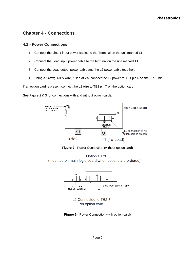## **Chapter 4 - Connections**

### **4.1 - Power Connections**

- 1. Connect the Line 1 input power cables to the Terminal on the unit marked L1.
- 2. Connect the Load input power cable to the terminal on the unit marked T1.
- 3. Connect the Load output power cable and the L2 power cable together.
- 4. Using a 14awg, 600v wire, fused at 2A, connect the L2 power to TB1 pin 6 on the EP1 unit.

If an option card is present connect the L2 wire to TB2 pin 7 on the option card.

See Figure 2 & 3 for connections with and without option cards.



**Figure 2** - Power Connection (without option card)



**Figure 3** - Power Connection (with option card)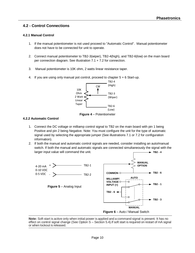## **4.2 - Control Connections**

#### **4.2.1 Manual Control**

- 1. If the manual potentiometer is not used proceed to "Automatic Control". Manual potentiometer does not have to be connected for unit to operate.
- 2. Connect manual potentiometer to TB2-3(wiper), TB2-4(high), and TB2-6(low) on the main board per connection diagram. See illustration 7.1 + 7.2 for connection.
- 3. Manual potentiometer is 10K ohm, 2 watts linear resistance taper.
- 4. If you are using only manual pot control, proceed to chapter 5 + 6 Start-up.



#### **4.2.2 Automatic Control**

- 1. Connect the DC voltage or milliamp control signal to TB2 on the main board with pin 1 being Positive and pin 2 being Negative. Note: You must configure the unit for the type of automatic signal used by selecting the appropriate jumper (See illustrations 7.1 or 7.2 for configuration information).
- 2. If both the manual and automatic control signals are needed, consider installing an auto/manual switch. If both the manual and automatic signals are connected simultaneously the signal with the larger input value will command the unit.  $+$  TB<sub>2</sub> - 4



**Note:** Soft start is active only when initial power is applied and a command signal is present. It has no effect on control signal change (See Option S – Section 5.4).If soft start is required on restart of mA signal or when lockout is released.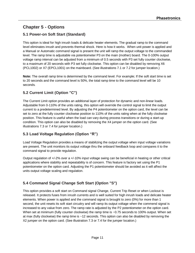## **Chapter 5 - Options**

## **5.1 Power-on Soft Start (Standard)**

This option is ideal for high inrush loads & delicate heater elements. The gradual ramp to the command level eliminates inrush and prevents thermal shock. Here is how it works. When unit power is applied and a Manual or Automatic command signal is present the unit will ramp the output voltage to the commanded level. The ramp time is adjustable via potentiometer P3 on the main (mother) board. The 0-100% output voltage ramp interval can be adjusted from a minimum of 0.5 seconds with P3 set fully counter clockwise, to a maximum of 20 seconds with P3 set fully clockwise. This option can be disabled by removing X6 (PCL1002) or X7 (EPCL1001) on the mainboard. (See illustrations 7.1 or 7.2 for jumper location.)

**Note:** The overall ramp time is determined by the command level. For example; If the soft start time is set to 20 seconds and the command level is 50%, the total ramp time to the command level will be 10 seconds*.*

## **5.2 Current Limit (Option "C")**

The Current Limit option provides an additional layer of protection for dynamic and non-linear loads. Adjustable from 0-110% of the units rating, this option will override the control signal to limit the output current to a predetermined level. By adjusting the P4 potentiometer on the option card, the level can be set to zero at the fully counter clockwise position to 110% of the units rating when at the fully clockwise position. This feature is useful when the load can vary during process transitions or during a start-up condition. This option can also be disabled by removing the X4 jumper on the option card. (See illustrations 7.3 or 7.4 for jumper location.)

## **5.3 Load Voltage Regulation (Option "R")**

Load Voltage Regulation provides a means of stabilizing the output voltage when input voltage variations are present. The unit monitors its output voltage thru the onboard feedback loop and compares it to the command signal to provide regulation.

Output regulation of +/-2% over a +/-10% input voltage swing can be beneficial in heating or other critical applications where stability and repeatability is of concern. This feature is factory set using the P1 potentiometer on the option card. Adjusting the P1 potentiometer should be avoided as it will affect the units output voltage scaling and regulation.

## **5.4 Command Signal Change Soft Start (Option "S")**

This option provides a soft start on Command signal Change, Current Trip Reset or when Lockout is released. It protects fuses from inrush currents and is well suited for high inrush loads and delicate heater elements. When power is applied and the command signal is brought to zero (0%) for more than 1 second, the unit resets its soft start circuitry and will ramp its output voltage when the commend signal is increased to any value from zero. The ramp rate is adjusted by the P2 potentiometer on the option card. When set at minimum (fully counter clockwise) the ramp time is ~0.75 seconds to 100% output. When set at max (fully clockwise) the ramp time is ~12 seconds. This option can also be disabled by removing the X2 jumper on the option card. (See illustration 7.3 or 7.4 for the jumper location.)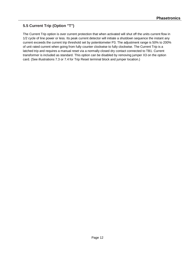## **5.5 Current Trip (Option "T")**

The Current Trip option is over current protection that when activated will shut off the units current flow in 1/2 cycle of line power or less. Its peak current detector will initiate a shutdown sequence the instant any current exceeds the current trip threshold set by potentiometer P3. The adjustment range is 50% to 200% of unit rated current when going from fully counter clockwise to fully clockwise. The Current Trip is a latched trip and requires a manual reset via a normally closed dry contact connected to TB1. Current transformer is included as standard. This option can be disabled by removing jumper X3 on the option card. (See illustrations 7.3 or 7.4 for Trip Reset terminal block and jumper location.)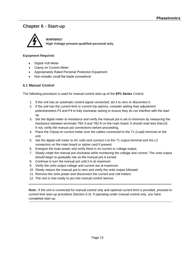## **Chapter 6 - Start-up**



**WARNING! High Voltage present qualified personal only.**

#### **Equipment Required:**

- Digital Volt Meter
- Clamp on Current Meter
- Appropriately Rated Personal Protection Equipment
- Non-metallic small flat blade screwdriver

#### **6.1 Manual Control**

The following procedure is used for manual control start-up of the **EP1 Series** Control.

- 1. If the unit has an automatic control signal connected, set it to zero or disconnect it.
- 2. If the unit has the current limit or current trip options, consider setting their adjustment potentiometers P3 and P4 to fully clockwise setting to ensure they do not interfere with the start up.
- 3. Set the digital meter to resistance and verify the manual pot is set to minimum by measuring the resistance between terminals TB2-3 and TB2-6 on the main board. It should read less than1Ω. If not, verify the manual pot connections before proceeding.
- 4. Place the Clamp on current meter over the cables connected to the T1 (Load) terminal on the unit.
- 5. Set the digital volt meter to AC volts and connect it to the T1 output terminal and the L2 connection on the main board or option card if present.
- 6. Energize the main power and verify there is no current or voltage output.
- 7. Slowly rotate the manual pot clockwise while monitoring the voltage and current. The units output should begin to gradually rise as the manual pot is turned.
- 8. Continue to turn the manual pot until it is at maximum.
- 9. Verify the units output voltage and current are at maximum.
- 10. Slowly reduce the manual pot to zero and verify the units output followed.
- 11. Remove the units power and disconnect the current and volt meters.
- 12. The unit is now ready to put into manual control service.

**Note:** If the unit is connected for manual control only and optional current limit is provided, proceed to current limit start-up procedure (Section 6.3). If operating under manual control only, you have completed start-up.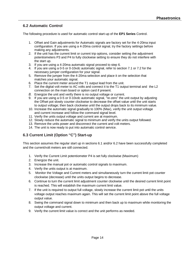## **6.2 Automatic Control**

The following procedure is used for automatic control start-up of the **EP1 Series** Control.

- 1. Offset and Gain adjustments for Automatic signals are factory set for the 4-20ma input configuration. If you are using a 4-20ma control signal, try the factory settings before making any adjustments.
- 2. If the unit has the current limit or current trip options, consider setting the adjustment potentiometers P3 and P4 to fully clockwise setting to ensure they do not interfere with the start up.
- 3. If you are using a 4-20ma automatic signal proceed to step 6.
- 4. If you are using a 0-5 or 0-10vdc automatic signal, refer to section 7.1 or 7.2 for the necessary jumper configuration for your signal.
- 5. Remove the jumper from the 4-20ma selection and place it on the selection that matches your automatic signal.
- 6. Place the current meter around the T1 output lead from the unit.
- 7. Set the digital volt meter to AC volts and connect it to the T1 output terminal and the L2 connection on the main board or option card if present.
- *8.* Energize the unit and verify there is no output voltage or current.
- 9. If you are using a 0-5 or 0-10vdc automatic signal, "re-zero" the unit output by adjusting the Offset pot slowly counter clockwise to decrease the offset value until the unit starts to output voltage; then back clockwise until the output drops back to its minimum value.
- 10. Increase the automatic signal gradually to 100% (Max), verify the unit output voltage and current increase and follow the command signal level.
- 11. Verify the units output voltage and current are at maximum.
- 12. Slowly reduce the automatic signal to minimum and verify the units output followed.
- 13. Remove the units power and disconnect the current and volt meters.
- 14. The unit is now ready to put into automatic control service.

## **6.3 Current Limit (Option "C") Start-up**

This section assumes the regular start up in sections 6.1 and/or 6.2 have been successfully completed and the current/volt meters are still connected.

- 1. Verify the Current Limit potentiometer P4 is set fully clockwise (Maximum)
- 2. Energize the unit.
- 3. Increase the manual pot or automatic control signals to maximum.
- 4. Verify the units output is at maximum.
- 5. Monitor the Voltage and Current meters and simultaneously turn the current limit pot counter clockwise (decrease) until the units output begins to decrease.
- 6. Continue to turn the current limit adjustment counter clockwise until the desired current limit point is reached. This will establish the maximum current limit value.
- 7. If the unit is required to output full voltage, slowly increase the current limit pot until the units voltage output reaches maximum again. This will set the current limit point above the full voltage output value.
- 8. Swing the command signal down to minimum and then back up to maximum while monitoring the output voltage and current.
- 9. Verify the current limit value is correct and the unit performs as needed.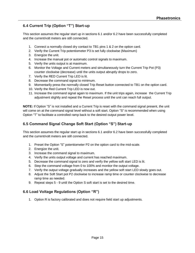## **6.4 Current Trip (Option "T") Start-up**

This section assumes the regular start up in sections 6.1 and/or 6.2 have been successfully completed and the current/volt meters are still connected.

- 1. Connect a normally closed dry contact to TB1 pins 1 & 2 on the option card.
- 2. Verify the Current Trip potentiometer P3 is set fully clockwise (Maximum)
- 3. Energize the unit.
- 4. Increase the manual pot or automatic control signals to maximum.
- 5. Verify the units output is at maximum.
- 6. Monitor the Voltage and Current meters and simultaneously turn the Current Trip Pot (P3) counter clockwise (decrease) until the units output abruptly drops to zero.
- 7. Verify the RED Current Trip LED is lit.
- 8. Decrease the command signal to minimum.
- 9. Momentarily press the normally closed Trip Reset button connected to TB1 on the option card.
- 10. Verify the Red Current Trip LED is now out.
- 11. Increase the command signal again to maximum. If the unit trips again, increase the Current Trip adjustment slightly and repeat the Reset process until the unit can reach full output.

**NOTE:** If Option "S" is not installed and a Current Trip is reset with the command signal present, the unit will come on at the command signal level without a soft start. Option "S" is recommended when using Option "T" to facilitate a controlled ramp back to the desired output power level.

## **6.5 Command Signal Change Soft Start (Option "S") Start-up**

This section assumes the regular start up in sections 6.1 and/or 6.2 have been successfully completed and the current/volt meters are still connected.

- 1. Preset the Option "S" potentiometer P2 on the option card to the mid-scale.
- 2. Energize the unit.
- 3. Increase the command signal to maximum.
- 4. Verify the units output voltage and current has reached maximum.
- 5. Decrease the command signal to zero and verify the yellow soft start LED is lit.
- 6. Step the command voltage from 0 to 100% and monitor the output voltage.
- 7. Verify the output voltage gradually increases and the yellow soft start LED slowly goes out.
- 8. Adjust the Soft Start pot P2 clockwise to increase ramp time or counter clockwise to decrease ramp time as needed.
- 9. Repeat steps 5 9 until the Option S soft start is set to the desired time.

### **6.6 Load Voltage Regulations (Option "R")**

1. Option R is factory calibrated and does not require field start up adjustments.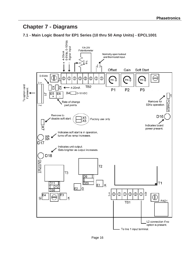## **Chapter 7 - Diagrams**

## **7.1 - Main Logic Board for EP1 Series (10 thru 50 Amp Units) - EPCL1001**

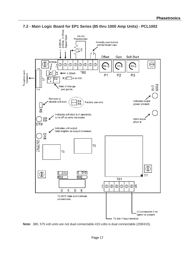

**Note:** 380, 575 volt units are not dual connectable.415 volts is dual connectable (208/415).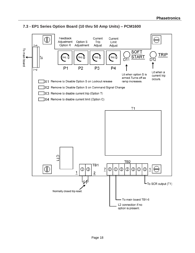

## **7.3 - EP1 Series Option Board (10 thru 50 Amp Units) – PCM1600**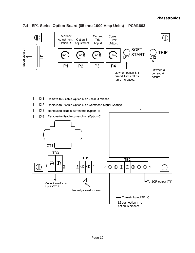

### **7.4 - EP1 Series Option Board (85 thru 1000 Amp Units) – PCM1603**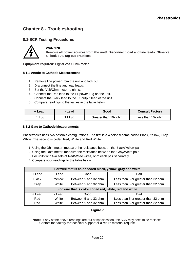## **Chapter 8 - Troubleshooting**

## **8.1-SCR Testing Procedures**



#### **WARNING**

**Remove all power sources from the unit! Disconnect load and line leads. Observe all lock out / tag out practices.**

**Equipment required:** Digital Volt / Ohm meter

#### **8.1.1 Anode to Cathode Measurement**

- 1. Remove line power from the unit and lock out.
- 2. Disconnect the line and load leads.
- 3. Set the Volt/Ohm meter to ohms.
- 4. Connect the Red lead to the L1 power Lug on the unit.
- 5. Connect the Black lead to the T1 output lead of the unit.
- 6. Compare readings to the values in the table below.

| + Lead   | - Lead | Good                 | <b>Consult Factory</b> |
|----------|--------|----------------------|------------------------|
| $L1$ Lug | T1 Lug | Greater than 10k ohm | Less than 10k ohm      |

#### **8.1.2 Gate to Cathode Measurements**

Phasetronics uses two possible configurations. The first is a 4 color scheme coded Black, Yellow, Gray, White. The second is coded Red, White and Red White.

- 1. Using the Ohm meter, measure the resistance between the Black/Yellow pair.
- 2. Using the Ohm meter, measure the resistance between the Gray/White pair.
- 3. For units with two sets of Red/White wires, ohm each pair separately.
- 4. Compare your readings to the table below.

| For wire that is color coded black, yellow, gray and white |        |                      |                                    |  |  |
|------------------------------------------------------------|--------|----------------------|------------------------------------|--|--|
| + Lead                                                     | - Lead | Good                 | <b>Bad</b>                         |  |  |
| <b>Black</b>                                               | Yellow | Between 5 and 32 ohm | Less than 5 or greater than 32 ohm |  |  |
| White<br>Gray                                              |        | Between 5 and 32 ohm | Less than 5 or greater than 32 ohm |  |  |
| For wire that is color coded red, white, red and white     |        |                      |                                    |  |  |
| + Lead                                                     | - Lead | Good                 | Bad                                |  |  |
| Red                                                        | White  | Between 5 and 32 ohm | Less than 5 or greater than 32 ohm |  |  |
| Between 5 and 32 ohm<br>White<br>Red                       |        |                      | Less than 5 or greater than 32 ohm |  |  |

#### **Figure 7**

**Note:** If any of the above readings are out of specification, the SCR may need to be replaced. Contact the factory for technical support or a return material request.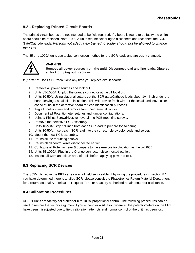## **8.2 - Replacing Printed Circuit Boards**

The printed circuit boards are not intended to be field repaired. If a board is found to be faulty the entire board should be replaced. Note: 10-50A units require soldering to disconnect and reconnect the SCR Gate/Cathode leads. *Persons not adequately trained to solder should not be allowed to change the PCB.*

The 85 thru 1000A units use a plug connection method for the SCR leads and are easily changed.



#### **WARNING**

**Remove all power sources from the unit! Disconnect load and line leads. Observe all lock out / tag out practices.**

**Important!** Use ESD Precautions any time you replace circuit boards.

- 1. Remove all power sources and lock out.
- 2. Units 85-1000A: Unplug the orange connector at the J1 location.
- 3. Units 10-50A: Using diagonal cutters cut the SCR gate/Cathode leads about 1/4 inch under the board leaving a small bit of insulation. This will provide fresh wire for the install and leave color coded stubs in the defective board for lead identification purposes.
- 4. Tag all control wires and remove from their terminal blocks
- 5. Document all Potentiometer settings and jumper configurations.
- 6. Using a Philips Screwdriver, remove all the PCB mounting screws.
- 7. Remove the defective PCB assembly.
- 8. Units 10-50A: Strip 1/4 inch from each SCR lead to prepare for soldering.
- 9. Units 10-50A: Insert each SCR lead into the correct hole by color code and solder.
- 10. Mount the new PCB assembly.
- 11. Re-install the mounting screws.
- 12. Re-install all control wires disconnected earlier.
- 13. Configure all Potentiometer & Jumpers to the same position/location as the old PCB.
- 14. Units 85-1000A: Plug in the Orange connector disconnected earlier.
- 15. Inspect all work and clean area of tools before applying power to test.

### **8.3 Replacing SCR Devices**

The SCRs utilized in the **EP1 series** are not field serviceable. If by using the procedures in section 8.1 you have determined there is a failed SCR, please consult the Phasetronics Return Material Department for a return Material Authorization Request Form or a factory authorized repair center for assistance.

### **8.4 Calibration Procedures**

All EP1 units are factory calibrated for 0 to 100% proportional control. The following procedures can be used to restore the factory alignment if you encounter a situation where all the potentiometers on the EP1 have been misadjusted due to field calibration attempts and normal control of the unit has been lost.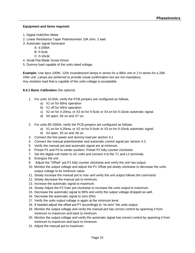#### **Equipment and Items required:**

- 1. Digital Volt/Ohm Meter
- 2. Linear Resistance Taper Potentiometer 10K ohm, 2 watt
- 3. Automatic signal Generator
	- A: 4-20MA
	- B: 0-5vdc
	- C: 0-10vdc
- 4. Small Flat Blade Screw Driver.
- 5. Dummy load capable of the units rated voltage.

**Example:** Use 4pcs 100W, 120v incandescent lamps in series for a 480v unit or 2 in series for a 208- 240v unit. Lamps are preferred to provide visual confirmation but are not mandatory. Any resistive load that is capable of the units voltage is acceptable.

#### **8.4.1 Basic Calibration** (No options)

- 1. For units 10-50A, verify the PCB jumpers are configured as follows.
	- a) X1 on for 60Hz operation
	- b) X1 off for 50Hz operation
	- c) X2 on for 4-20ma, or X3 on for 0-5vdc or X4 on for 0-10vdc automatic signal.
	- d) X5 open, X6 on and X7 on.
- 2. For units 85-1000A, verify the PCB jumpers are configured as follows.
	- a) X1 on for 4-20ma, or X2 on for 0-5vdc or X3 on for 0-10vdc automatic signal.
	- b) X4 open, X5 on and X6 on.
- 3. Connect the line power and dummy load per section 4.1
- 4. Connect the manual potentiometer and automatic control signal per section 4.2.
- 5. Verify the manual pot and automatic signal are at minimum.
- 6. Preset P1 and P3 to center position. Preset P2 fully counter clockwise
- 7. Set the digital volt meter to AC volts and connect it to the T1 and L2 terminals.
- 8. Energize the unit
- 9. Adjust the "Offset" pot P1 fully counter clockwise and verify the unit has output.
- 10. Monitor the output voltage and adjust the P1 Offset pot slowly clockwise to decrease the units output voltage to its minimum value.
- 11. Slowly increase the manual pot to max and verify the unit output follows the command.
- 12. Slowly decrease the manual pot to minimum.
- 13. Increase the automatic signal to maximum.
- 14. Slowly Adjust the P2 Gain pot clockwise to increase the units output to maximum.
- 15. Decrease the automatic signal to 90% and verify the output voltage dropped as well.
- 16. Decrease the automatic signal to zero (0%)
- 17. Verify the units output voltage is again at the minimum level.
- 18. If needed adjust the offset pot P1 accordingly to "re-zero" the units output.
- 19. Monitor the output voltage and verify the manual pot has correct control by spanning it from minimum to maximum and back to minimum.
- 20. Monitor the output voltage and verify the automatic signal has correct control by spanning it from minimum to maximum and back to minimum.
- 21. Adjust the manual pot to maximum.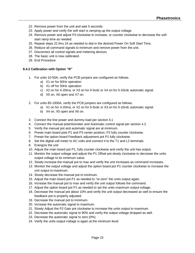- 22. Remove power from the unit and wait 5 seconds.
- 23. Apply power and verify the soft start is ramping-up the output voltage.
- 24. Remove power and adjust P3 clockwise to increase, or counter clockwise to decrease the soft start ramp time as needed.
- 25. Repeat steps 22 thru 24 as needed to dial in the desired Power On Soft Start Time.
- 26. Reduce all command signals to minimum and remove power from the unit.
- 27. Disconnect all control signals and metering devices.
- 28. The basic unit is now calibrated.
- 29. End Procedure

#### **8.4.2 Calibration with Option "R"**

- 1. For units 10-50A, verify the PCB jumpers are configured as follows.
	- a) X1 on for 60Hz operation
	- b) X1 off for 50Hz operation
	- c) X2 on for 4-20ma, or X3 on for 0-5vdc or X4 on for 0-10vdc automatic signal.
	- d) X5 on, X6 open and X7 on.
- 2. For units 85-1000A, verify the PCB jumpers are configured as follows.
	- a) X1 on for 4-20ma, or X2 on for 0-5vdc or X3 on for 0-10vdc automatic signal.
	- b) X4 on, X5 open and X6 on.
- 3. Connect the line power and dummy load per section 4.1
- 4. Connect the manual potentiometer and Automatic control signal per section 4.2.
- 5. Verify the manual pot and automatic signal are at minimum.
- 6. Preset main board pots P1 and P3 center position, P2 fully counter clockwise.
- 7. Preset the option board Feedback adjustment pot P1 fully clockwise.
- 8. Set the digital volt meter to AC volts and connect it to the T1 and L2 terminals.
- 9. Energize the unit
- 10. Adjust the main board pot P1, fully counter clockwise and verify the unit has output.
- 11. Monitor the output voltage and adjust the P1 Offset pot slowly clockwise to decrease the units output voltage to its minimum value.
- 12. Slowly increase the manual pot to max and verify the unit increases as command increases.
- 13. Monitor the output voltage and adjust the option board pot P1 counter clockwise to increase the unit output to maximum.
- 14. Slowly decrease the manual pot to minimum.
- 15. Adjust the main board pot P1 as needed to "re-zero" the units output again.
- 16. Increase the manual pot to max and verify the unit output follows the command.
- 17. Adjust the option board pot P1 as needed to set the units maximum output voltage.
- 18. Decrease the manual pot about 10% and verify the unit output decreased as well to ensure the feedback pot is properly adjusted.
- 19. Decrease the manual pot to minimum.
- 20. Increase the automatic signal to maximum.
- 21. Slowly Adjust the P2 Gain pot clockwise to increase the units output to maximum.
- 22. Decrease the automatic signal to 90% and verify the output voltage dropped as well.
- 23. Decrease the automatic signal to zero (0%)
- 24. Verify the units output voltage is again at the minimum level.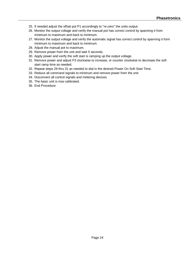- 25. If needed adjust the offset pot P1 accordingly to "re-zero" the units output.
- 26. Monitor the output voltage and verify the manual pot has correct control by spanning it from minimum to maximum and back to minimum.
- 27. Monitor the output voltage and verify the automatic signal has correct control by spanning it form minimum to maximum and back to minimum.
- 28. Adjust the manual pot to maximum.
- 29. Remove power from the unit and wait 5 seconds.
- 30. Apply power and verify the soft start is ramping up the output voltage.
- 31. Remove power and adjust P3 clockwise to increase, or counter clockwise to decrease the soft start ramp time as needed.
- 32. Repeat steps 29 thru 31 as needed to dial in the desired Power On Soft Start Time.
- 33. Reduce all command signals to minimum and remove power from the unit.
- 34. Disconnect all control signals and metering devices.
- 35. The basic unit is now calibrated.
- 36. End Procedure